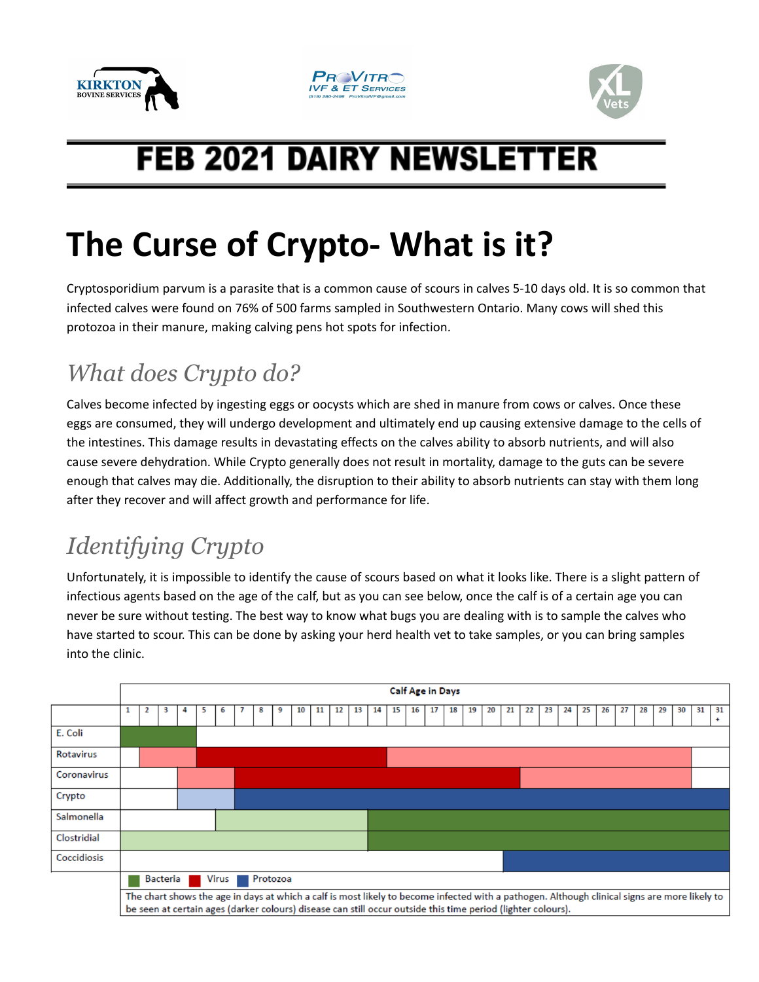





## **FEB 2021 DAIRY NEWSLETTER**

# **The Curse of Crypto- What is it?**

Cryptosporidium parvum is a parasite that is a common cause of scours in calves 5-10 days old. It is so common that infected calves were found on 76% of 500 farms sampled in Southwestern Ontario. Many cows will shed this protozoa in their manure, making calving pens hot spots for infection.

## *What does Crypto do?*

Calves become infected by ingesting eggs or oocysts which are shed in manure from cows or calves. Once these eggs are consumed, they will undergo development and ultimately end up causing extensive damage to the cells of the intestines. This damage results in devastating effects on the calves ability to absorb nutrients, and will also cause severe dehydration. While Crypto generally does not result in mortality, damage to the guts can be severe enough that calves may die. Additionally, the disruption to their ability to absorb nutrients can stay with them long after they recover and will affect growth and performance for life.

### *Identifying Crypto*

Unfortunately, it is impossible to identify the cause of scours based on what it looks like. There is a slight pattern of infectious agents based on the age of the calf, but as you can see below, once the calf is of a certain age you can never be sure without testing. The best way to know what bugs you are dealing with is to sample the calves who have started to scour. This can be done by asking your herd health vet to take samples, or you can bring samples into the clinic.